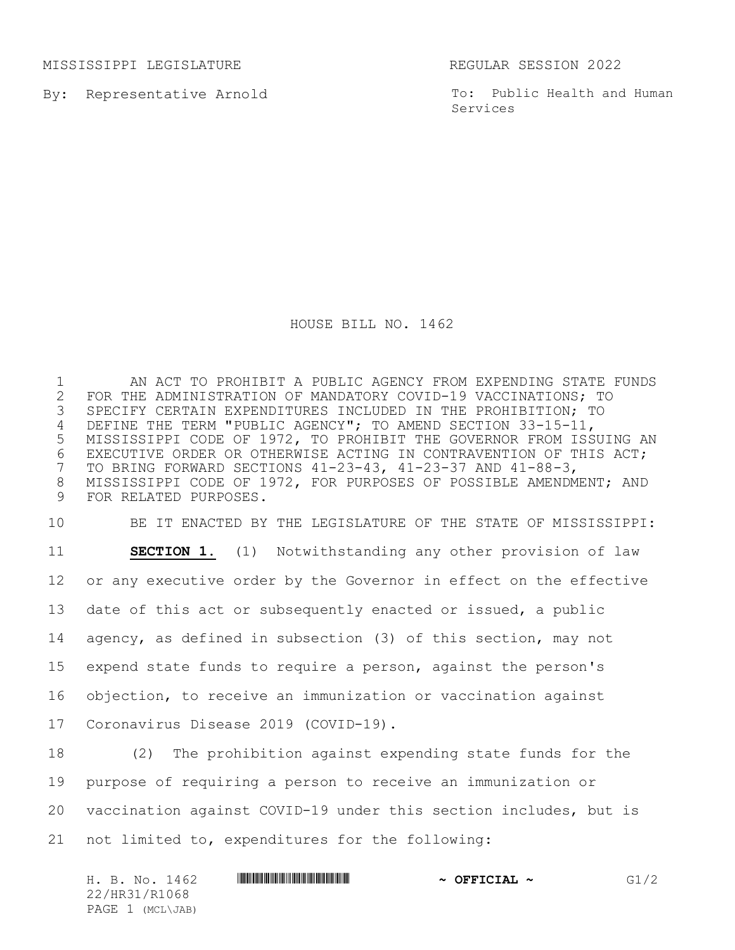MISSISSIPPI LEGISLATURE REGULAR SESSION 2022

By: Representative Arnold

To: Public Health and Human Services

## HOUSE BILL NO. 1462

1 AN ACT TO PROHIBIT A PUBLIC AGENCY FROM EXPENDING STATE FUNDS<br>2 FOR THE ADMINISTRATION OF MANDATORY COVID-19 VACCINATIONS; TO 2 FOR THE ADMINISTRATION OF MANDATORY COVID-19 VACCINATIONS; TO<br>3 SPECIFY CERTAIN EXPENDITURES INCLUDED IN THE PROHIBITION; TO SPECIFY CERTAIN EXPENDITURES INCLUDED IN THE PROHIBITION; TO DEFINE THE TERM "PUBLIC AGENCY"; TO AMEND SECTION 33-15-11, MISSISSIPPI CODE OF 1972, TO PROHIBIT THE GOVERNOR FROM ISSUING AN 6 EXECUTIVE ORDER OR OTHERWISE ACTING IN CONTRAVENTION OF THIS ACT;<br>7 TO BRING FORWARD SECTIONS 41-23-43, 41-23-37 AND 41-88-3, TO BRING FORWARD SECTIONS 41-23-43, 41-23-37 AND 41-88-3, MISSISSIPPI CODE OF 1972, FOR PURPOSES OF POSSIBLE AMENDMENT; AND FOR RELATED PURPOSES.

 BE IT ENACTED BY THE LEGISLATURE OF THE STATE OF MISSISSIPPI: **SECTION 1.** (1) Notwithstanding any other provision of law or any executive order by the Governor in effect on the effective date of this act or subsequently enacted or issued, a public agency, as defined in subsection (3) of this section, may not expend state funds to require a person, against the person's objection, to receive an immunization or vaccination against Coronavirus Disease 2019 (COVID-19).

 (2) The prohibition against expending state funds for the purpose of requiring a person to receive an immunization or vaccination against COVID-19 under this section includes, but is not limited to, expenditures for the following:

| H. B. No. 1462   | $\sim$ OFFICIAL $\sim$ | G1/2 |
|------------------|------------------------|------|
| 22/HR31/R1068    |                        |      |
| PAGE 1 (MCL\JAB) |                        |      |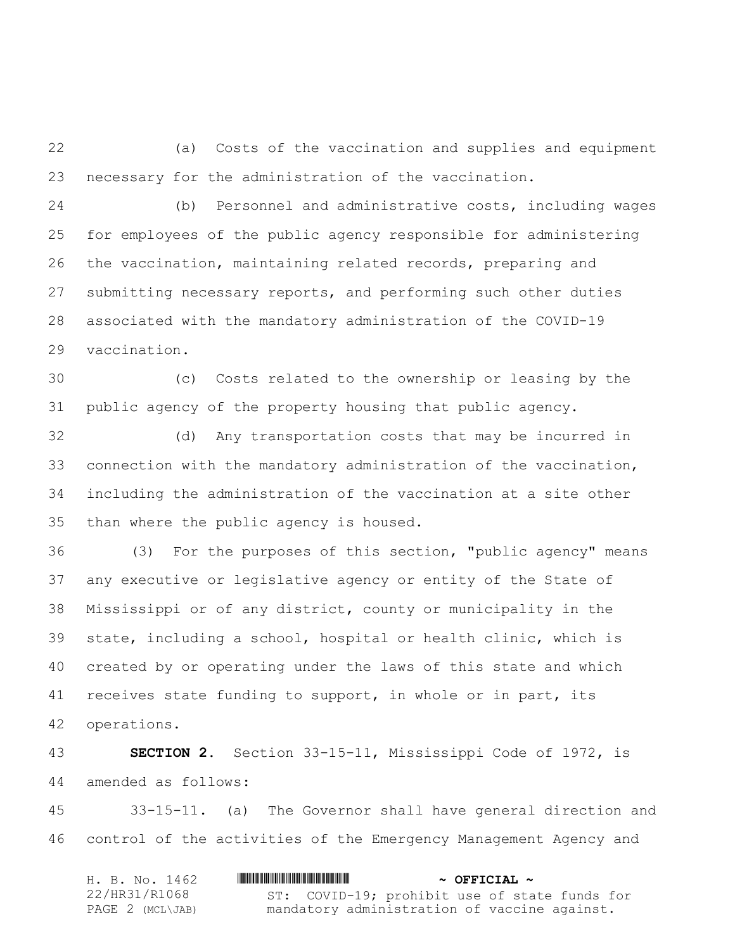(a) Costs of the vaccination and supplies and equipment necessary for the administration of the vaccination.

 (b) Personnel and administrative costs, including wages for employees of the public agency responsible for administering the vaccination, maintaining related records, preparing and submitting necessary reports, and performing such other duties associated with the mandatory administration of the COVID-19 vaccination.

 (c) Costs related to the ownership or leasing by the public agency of the property housing that public agency.

 (d) Any transportation costs that may be incurred in connection with the mandatory administration of the vaccination, including the administration of the vaccination at a site other than where the public agency is housed.

 (3) For the purposes of this section, "public agency" means any executive or legislative agency or entity of the State of Mississippi or of any district, county or municipality in the state, including a school, hospital or health clinic, which is created by or operating under the laws of this state and which receives state funding to support, in whole or in part, its operations.

 **SECTION 2.** Section 33-15-11, Mississippi Code of 1972, is amended as follows:

 33-15-11. (a) The Governor shall have general direction and control of the activities of the Emergency Management Agency and

| H. B. No. 1462   | $\sim$ OFFICIAL $\sim$                        |
|------------------|-----------------------------------------------|
| 22/HR31/R1068    | ST: COVID-19; prohibit use of state funds for |
| PAGE 2 (MCL\JAB) | mandatory administration of vaccine against.  |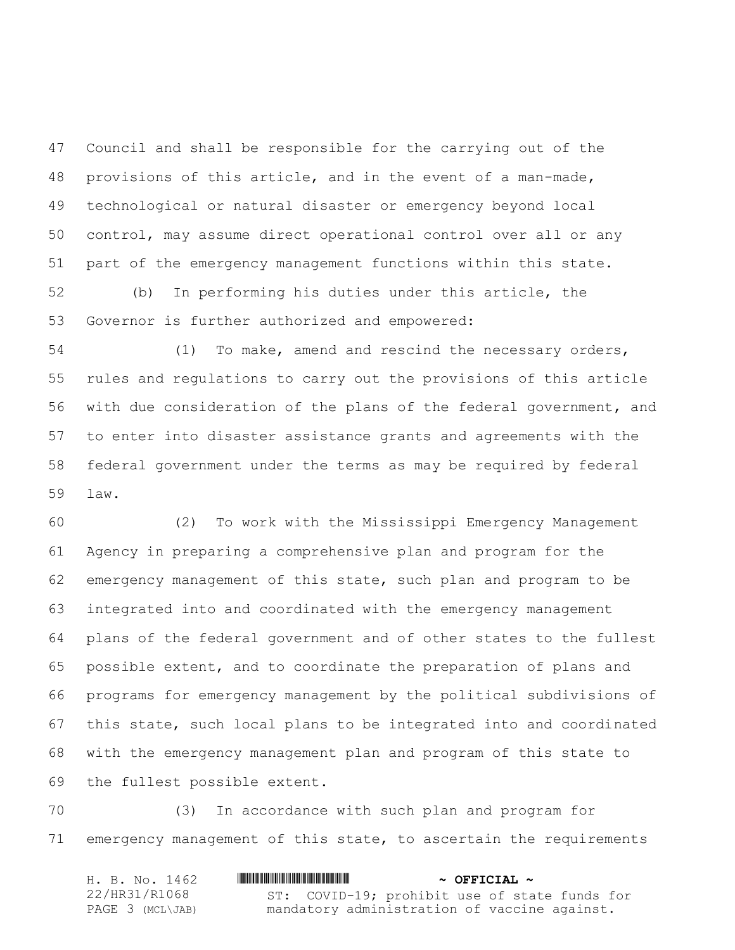Council and shall be responsible for the carrying out of the provisions of this article, and in the event of a man-made, technological or natural disaster or emergency beyond local control, may assume direct operational control over all or any part of the emergency management functions within this state. (b) In performing his duties under this article, the

Governor is further authorized and empowered:

 (1) To make, amend and rescind the necessary orders, rules and regulations to carry out the provisions of this article with due consideration of the plans of the federal government, and to enter into disaster assistance grants and agreements with the federal government under the terms as may be required by federal law.

 (2) To work with the Mississippi Emergency Management Agency in preparing a comprehensive plan and program for the emergency management of this state, such plan and program to be integrated into and coordinated with the emergency management plans of the federal government and of other states to the fullest possible extent, and to coordinate the preparation of plans and programs for emergency management by the political subdivisions of this state, such local plans to be integrated into and coordinated with the emergency management plan and program of this state to the fullest possible extent.

 (3) In accordance with such plan and program for emergency management of this state, to ascertain the requirements

| H. B. No. 1462   | $\sim$ OFFICIAL $\sim$                        |
|------------------|-----------------------------------------------|
| 22/HR31/R1068    | ST: COVID-19; prohibit use of state funds for |
| PAGE 3 (MCL\JAB) | mandatory administration of vaccine against.  |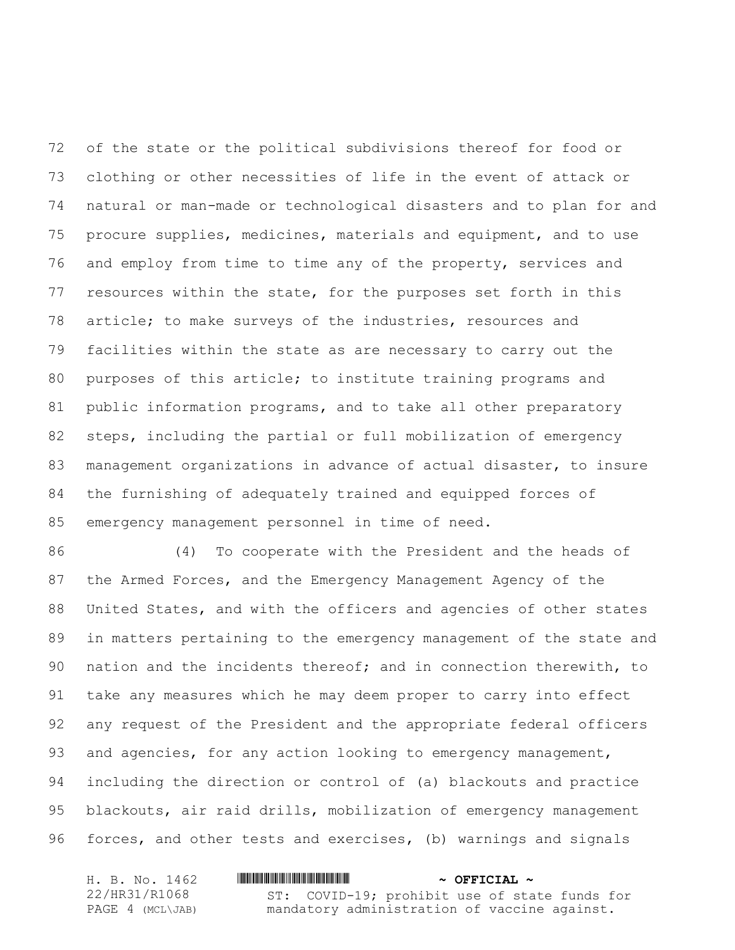of the state or the political subdivisions thereof for food or clothing or other necessities of life in the event of attack or natural or man-made or technological disasters and to plan for and procure supplies, medicines, materials and equipment, and to use and employ from time to time any of the property, services and resources within the state, for the purposes set forth in this article; to make surveys of the industries, resources and facilities within the state as are necessary to carry out the purposes of this article; to institute training programs and public information programs, and to take all other preparatory steps, including the partial or full mobilization of emergency management organizations in advance of actual disaster, to insure the furnishing of adequately trained and equipped forces of emergency management personnel in time of need.

 (4) To cooperate with the President and the heads of the Armed Forces, and the Emergency Management Agency of the United States, and with the officers and agencies of other states in matters pertaining to the emergency management of the state and nation and the incidents thereof; and in connection therewith, to take any measures which he may deem proper to carry into effect any request of the President and the appropriate federal officers 93 and agencies, for any action looking to emergency management, including the direction or control of (a) blackouts and practice blackouts, air raid drills, mobilization of emergency management forces, and other tests and exercises, (b) warnings and signals

| H. B. No. 1462   | $\sim$ OFFICIAL $\sim$                        |
|------------------|-----------------------------------------------|
| 22/HR31/R1068    | ST: COVID-19; prohibit use of state funds for |
| PAGE 4 (MCL\JAB) | mandatory administration of vaccine against.  |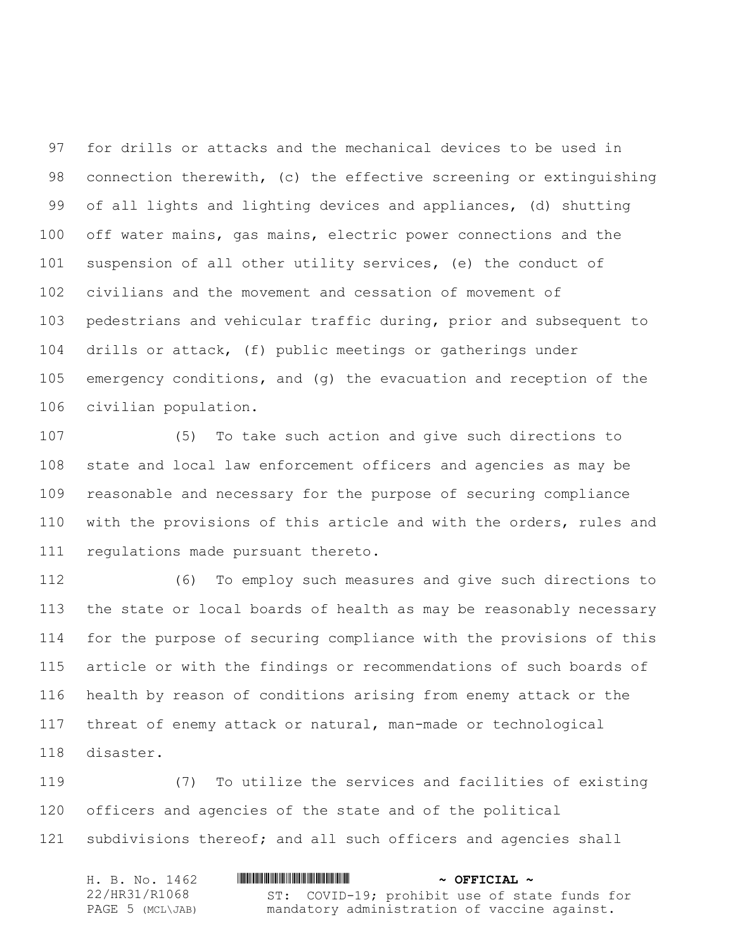for drills or attacks and the mechanical devices to be used in connection therewith, (c) the effective screening or extinguishing of all lights and lighting devices and appliances, (d) shutting off water mains, gas mains, electric power connections and the suspension of all other utility services, (e) the conduct of civilians and the movement and cessation of movement of pedestrians and vehicular traffic during, prior and subsequent to drills or attack, (f) public meetings or gatherings under emergency conditions, and (g) the evacuation and reception of the civilian population.

 (5) To take such action and give such directions to state and local law enforcement officers and agencies as may be reasonable and necessary for the purpose of securing compliance with the provisions of this article and with the orders, rules and regulations made pursuant thereto.

 (6) To employ such measures and give such directions to the state or local boards of health as may be reasonably necessary for the purpose of securing compliance with the provisions of this article or with the findings or recommendations of such boards of health by reason of conditions arising from enemy attack or the threat of enemy attack or natural, man-made or technological disaster.

 (7) To utilize the services and facilities of existing officers and agencies of the state and of the political subdivisions thereof; and all such officers and agencies shall

| H. B. No. 1462   | $\sim$ OFFICIAL $\sim$                        |
|------------------|-----------------------------------------------|
| 22/HR31/R1068    | ST: COVID-19; prohibit use of state funds for |
| PAGE 5 (MCL\JAB) | mandatory administration of vaccine against.  |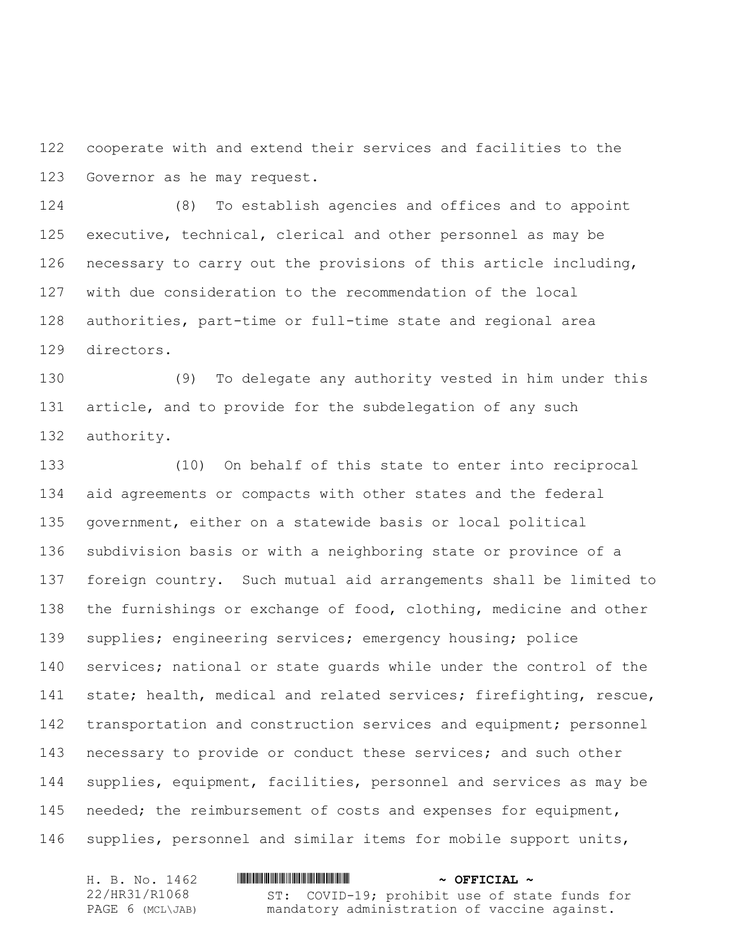cooperate with and extend their services and facilities to the Governor as he may request.

 (8) To establish agencies and offices and to appoint executive, technical, clerical and other personnel as may be necessary to carry out the provisions of this article including, with due consideration to the recommendation of the local authorities, part-time or full-time state and regional area directors.

 (9) To delegate any authority vested in him under this article, and to provide for the subdelegation of any such authority.

 (10) On behalf of this state to enter into reciprocal aid agreements or compacts with other states and the federal government, either on a statewide basis or local political subdivision basis or with a neighboring state or province of a foreign country. Such mutual aid arrangements shall be limited to the furnishings or exchange of food, clothing, medicine and other supplies; engineering services; emergency housing; police services; national or state guards while under the control of the state; health, medical and related services; firefighting, rescue, 142 transportation and construction services and equipment; personnel 143 necessary to provide or conduct these services; and such other supplies, equipment, facilities, personnel and services as may be needed; the reimbursement of costs and expenses for equipment, supplies, personnel and similar items for mobile support units,

| H. B. No. 1462   | $\sim$ OFFICIAL $\sim$                        |
|------------------|-----------------------------------------------|
| 22/HR31/R1068    | ST: COVID-19; prohibit use of state funds for |
| PAGE 6 (MCL\JAB) | mandatory administration of vaccine against.  |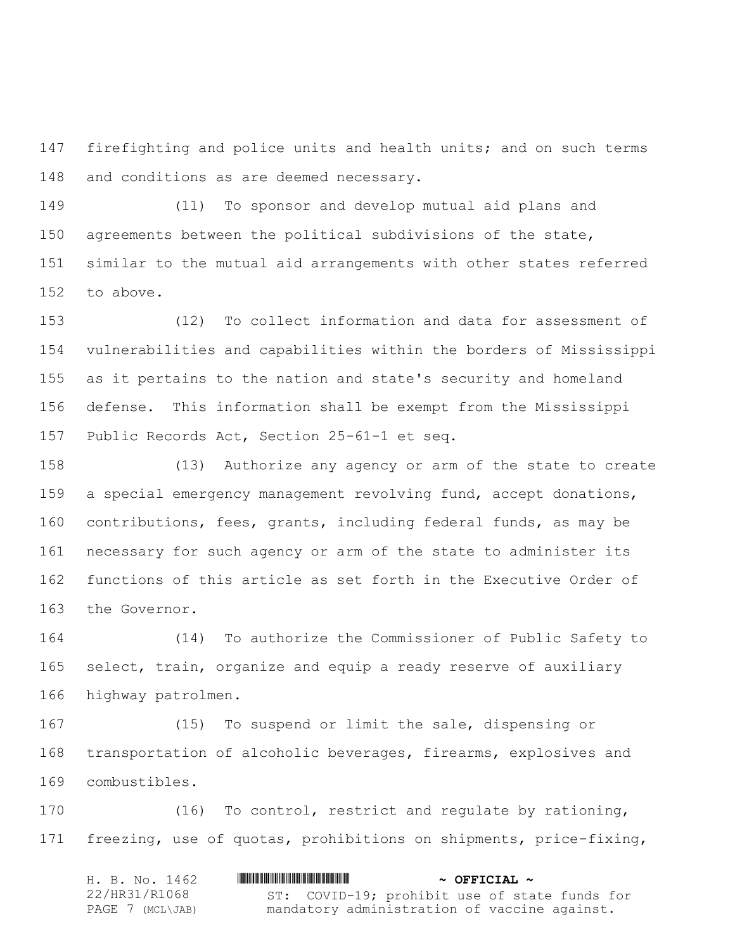firefighting and police units and health units; and on such terms 148 and conditions as are deemed necessary.

 (11) To sponsor and develop mutual aid plans and agreements between the political subdivisions of the state, similar to the mutual aid arrangements with other states referred to above.

 (12) To collect information and data for assessment of vulnerabilities and capabilities within the borders of Mississippi as it pertains to the nation and state's security and homeland defense. This information shall be exempt from the Mississippi Public Records Act, Section 25-61-1 et seq.

 (13) Authorize any agency or arm of the state to create a special emergency management revolving fund, accept donations, contributions, fees, grants, including federal funds, as may be necessary for such agency or arm of the state to administer its functions of this article as set forth in the Executive Order of the Governor.

 (14) To authorize the Commissioner of Public Safety to select, train, organize and equip a ready reserve of auxiliary highway patrolmen.

 (15) To suspend or limit the sale, dispensing or transportation of alcoholic beverages, firearms, explosives and combustibles.

 (16) To control, restrict and regulate by rationing, freezing, use of quotas, prohibitions on shipments, price-fixing,

| H. B. No. 1462   | $\sim$ OFFICIAL $\sim$                        |
|------------------|-----------------------------------------------|
| 22/HR31/R1068    | ST: COVID-19; prohibit use of state funds for |
| PAGE 7 (MCL\JAB) | mandatory administration of vaccine against.  |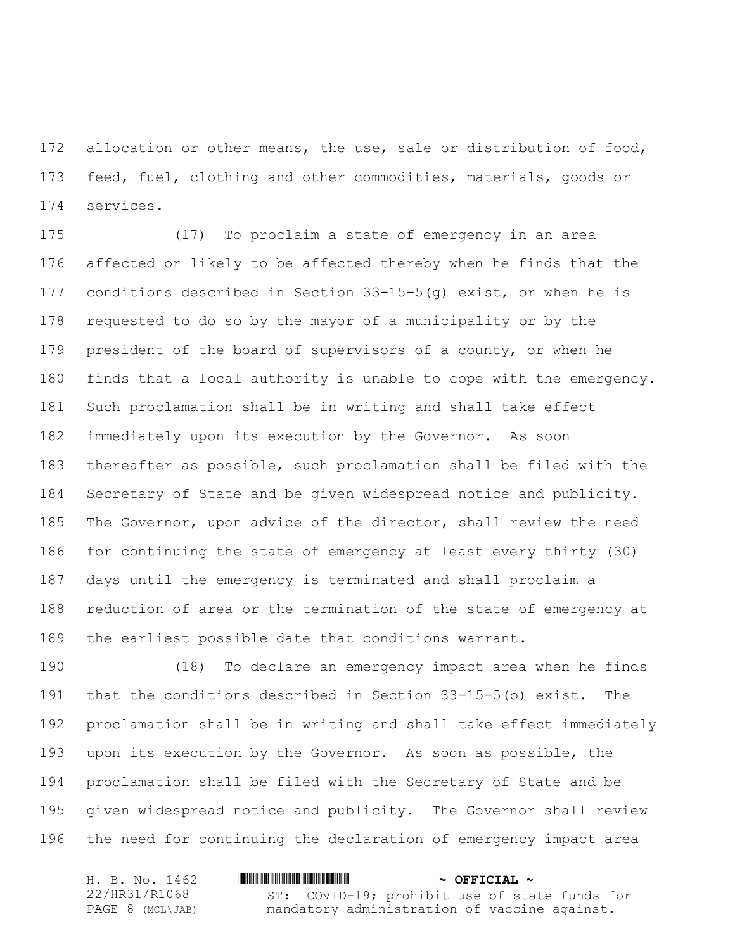172 allocation or other means, the use, sale or distribution of food, feed, fuel, clothing and other commodities, materials, goods or services.

 (17) To proclaim a state of emergency in an area affected or likely to be affected thereby when he finds that the conditions described in Section 33-15-5(g) exist, or when he is requested to do so by the mayor of a municipality or by the president of the board of supervisors of a county, or when he finds that a local authority is unable to cope with the emergency. Such proclamation shall be in writing and shall take effect immediately upon its execution by the Governor. As soon thereafter as possible, such proclamation shall be filed with the Secretary of State and be given widespread notice and publicity. The Governor, upon advice of the director, shall review the need for continuing the state of emergency at least every thirty (30) days until the emergency is terminated and shall proclaim a reduction of area or the termination of the state of emergency at the earliest possible date that conditions warrant.

 (18) To declare an emergency impact area when he finds that the conditions described in Section 33-15-5(o) exist. The proclamation shall be in writing and shall take effect immediately upon its execution by the Governor. As soon as possible, the proclamation shall be filed with the Secretary of State and be given widespread notice and publicity. The Governor shall review the need for continuing the declaration of emergency impact area

| H. B. No. 1462   | $\sim$ OFFICIAL $\sim$                        |
|------------------|-----------------------------------------------|
| 22/HR31/R1068    | ST: COVID-19; prohibit use of state funds for |
| PAGE 8 (MCL\JAB) | mandatory administration of vaccine against.  |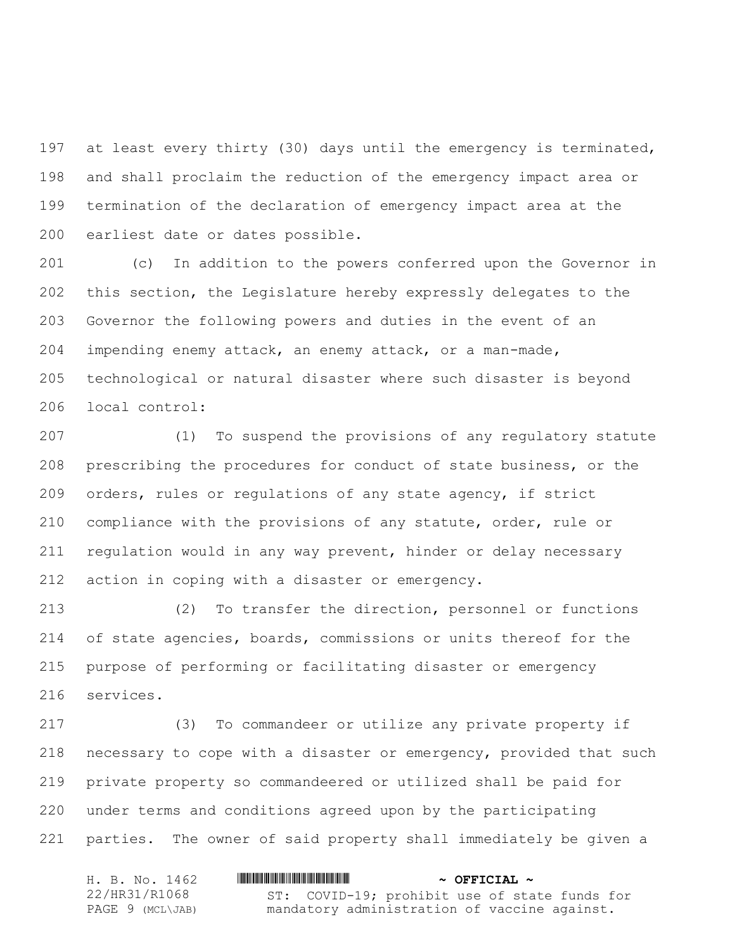at least every thirty (30) days until the emergency is terminated, and shall proclaim the reduction of the emergency impact area or termination of the declaration of emergency impact area at the earliest date or dates possible.

 (c) In addition to the powers conferred upon the Governor in this section, the Legislature hereby expressly delegates to the Governor the following powers and duties in the event of an impending enemy attack, an enemy attack, or a man-made, technological or natural disaster where such disaster is beyond local control:

 (1) To suspend the provisions of any regulatory statute prescribing the procedures for conduct of state business, or the orders, rules or regulations of any state agency, if strict compliance with the provisions of any statute, order, rule or regulation would in any way prevent, hinder or delay necessary action in coping with a disaster or emergency.

 (2) To transfer the direction, personnel or functions of state agencies, boards, commissions or units thereof for the purpose of performing or facilitating disaster or emergency services.

 (3) To commandeer or utilize any private property if necessary to cope with a disaster or emergency, provided that such private property so commandeered or utilized shall be paid for under terms and conditions agreed upon by the participating parties. The owner of said property shall immediately be given a

| H. B. No. 1462   | $\sim$ OFFICIAL $\sim$                        |
|------------------|-----------------------------------------------|
| 22/HR31/R1068    | ST: COVID-19; prohibit use of state funds for |
| PAGE 9 (MCL\JAB) | mandatory administration of vaccine against.  |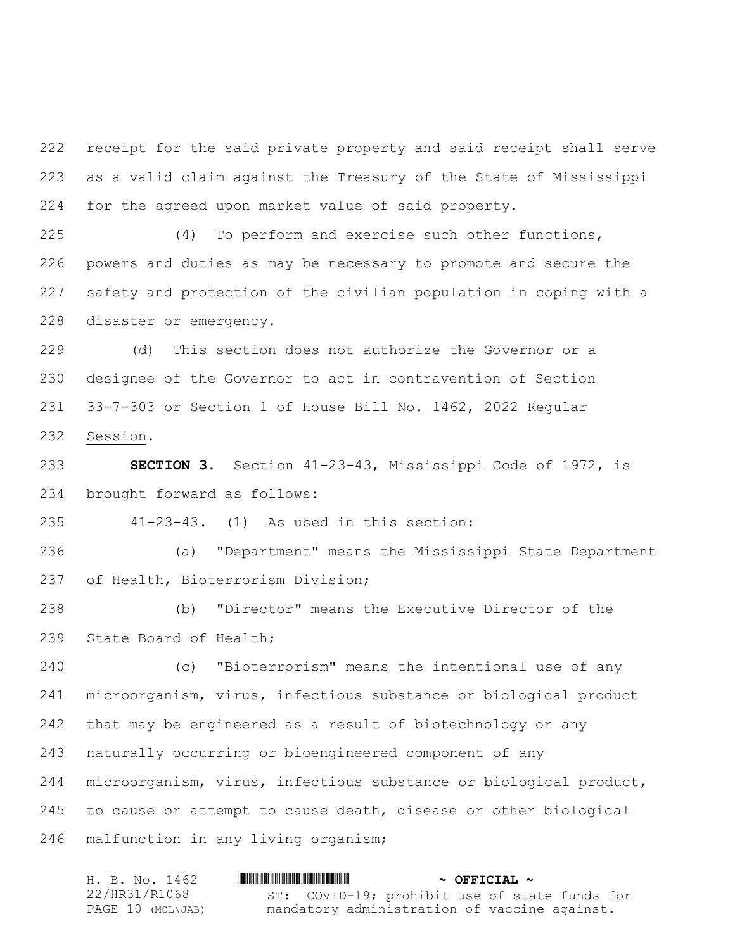receipt for the said private property and said receipt shall serve as a valid claim against the Treasury of the State of Mississippi for the agreed upon market value of said property.

 (4) To perform and exercise such other functions, powers and duties as may be necessary to promote and secure the safety and protection of the civilian population in coping with a disaster or emergency.

 (d) This section does not authorize the Governor or a designee of the Governor to act in contravention of Section 33-7-303 or Section 1 of House Bill No. 1462, 2022 Regular Session.

 **SECTION 3.** Section 41-23-43, Mississippi Code of 1972, is brought forward as follows:

41-23-43. (1) As used in this section:

 (a) "Department" means the Mississippi State Department of Health, Bioterrorism Division;

 (b) "Director" means the Executive Director of the State Board of Health;

 (c) "Bioterrorism" means the intentional use of any microorganism, virus, infectious substance or biological product that may be engineered as a result of biotechnology or any naturally occurring or bioengineered component of any microorganism, virus, infectious substance or biological product, to cause or attempt to cause death, disease or other biological malfunction in any living organism;

| H. B. No. 1462    | $\sim$ OFFICIAL $\sim$                        |
|-------------------|-----------------------------------------------|
| 22/HR31/R1068     | ST: COVID-19; prohibit use of state funds for |
| PAGE 10 (MCL\JAB) | mandatory administration of vaccine against.  |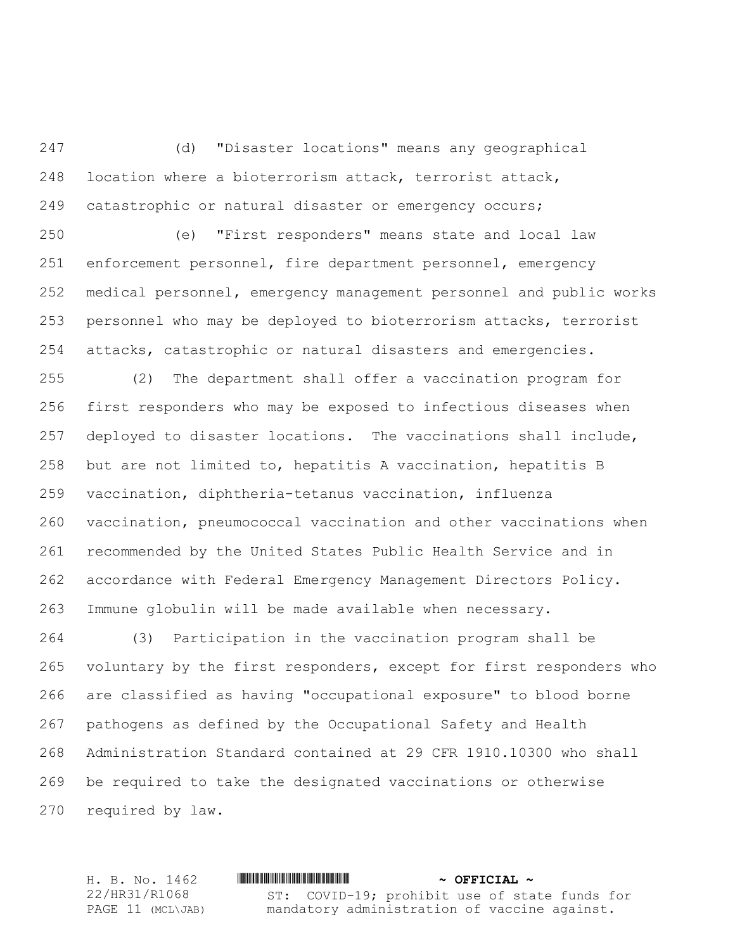(d) "Disaster locations" means any geographical location where a bioterrorism attack, terrorist attack, catastrophic or natural disaster or emergency occurs;

 (e) "First responders" means state and local law enforcement personnel, fire department personnel, emergency medical personnel, emergency management personnel and public works personnel who may be deployed to bioterrorism attacks, terrorist attacks, catastrophic or natural disasters and emergencies.

 (2) The department shall offer a vaccination program for first responders who may be exposed to infectious diseases when deployed to disaster locations. The vaccinations shall include, but are not limited to, hepatitis A vaccination, hepatitis B vaccination, diphtheria-tetanus vaccination, influenza vaccination, pneumococcal vaccination and other vaccinations when recommended by the United States Public Health Service and in accordance with Federal Emergency Management Directors Policy. Immune globulin will be made available when necessary.

 (3) Participation in the vaccination program shall be voluntary by the first responders, except for first responders who are classified as having "occupational exposure" to blood borne pathogens as defined by the Occupational Safety and Health Administration Standard contained at 29 CFR 1910.10300 who shall be required to take the designated vaccinations or otherwise required by law.

H. B. No. 1462 \*HR31/R1068\* **~ OFFICIAL ~** 22/HR31/R1068 PAGE 11 (MCL\JAB) ST: COVID-19; prohibit use of state funds for mandatory administration of vaccine against.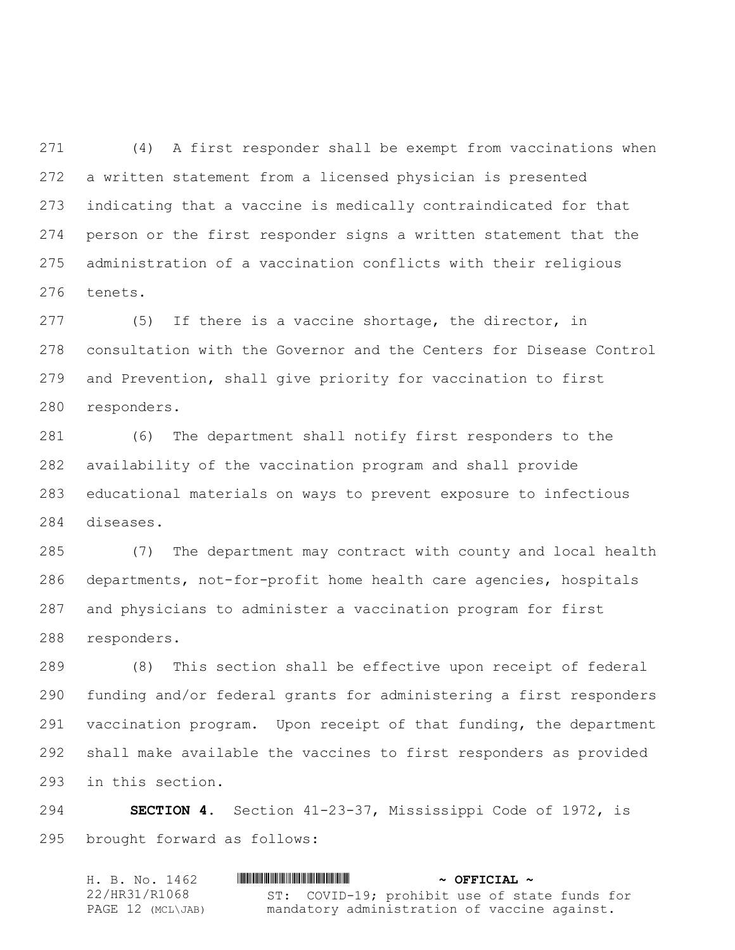(4) A first responder shall be exempt from vaccinations when a written statement from a licensed physician is presented indicating that a vaccine is medically contraindicated for that person or the first responder signs a written statement that the administration of a vaccination conflicts with their religious tenets.

 (5) If there is a vaccine shortage, the director, in consultation with the Governor and the Centers for Disease Control and Prevention, shall give priority for vaccination to first responders.

 (6) The department shall notify first responders to the availability of the vaccination program and shall provide educational materials on ways to prevent exposure to infectious diseases.

 (7) The department may contract with county and local health departments, not-for-profit home health care agencies, hospitals and physicians to administer a vaccination program for first responders.

 (8) This section shall be effective upon receipt of federal funding and/or federal grants for administering a first responders vaccination program. Upon receipt of that funding, the department shall make available the vaccines to first responders as provided in this section.

 **SECTION 4.** Section 41-23-37, Mississippi Code of 1972, is brought forward as follows:

| H. B. No. 1462    | $\sim$ OFFICIAL $\sim$                        |
|-------------------|-----------------------------------------------|
| 22/HR31/R1068     | ST: COVID-19; prohibit use of state funds for |
| PAGE 12 (MCL\JAB) | mandatory administration of vaccine against.  |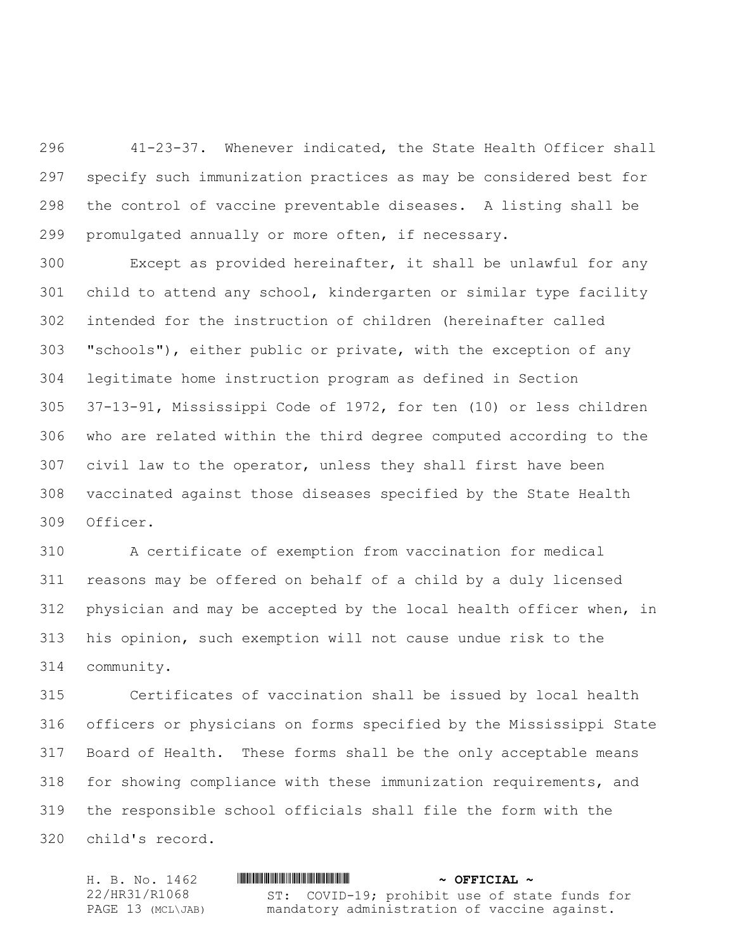41-23-37. Whenever indicated, the State Health Officer shall specify such immunization practices as may be considered best for the control of vaccine preventable diseases. A listing shall be promulgated annually or more often, if necessary.

 Except as provided hereinafter, it shall be unlawful for any child to attend any school, kindergarten or similar type facility intended for the instruction of children (hereinafter called "schools"), either public or private, with the exception of any legitimate home instruction program as defined in Section 37-13-91, Mississippi Code of 1972, for ten (10) or less children who are related within the third degree computed according to the civil law to the operator, unless they shall first have been vaccinated against those diseases specified by the State Health Officer.

 A certificate of exemption from vaccination for medical reasons may be offered on behalf of a child by a duly licensed physician and may be accepted by the local health officer when, in his opinion, such exemption will not cause undue risk to the community.

 Certificates of vaccination shall be issued by local health officers or physicians on forms specified by the Mississippi State Board of Health. These forms shall be the only acceptable means for showing compliance with these immunization requirements, and the responsible school officials shall file the form with the child's record.

H. B. No. 1462 \*HR31/R1068\* **~ OFFICIAL ~** 22/HR31/R1068 PAGE 13 (MCL\JAB) ST: COVID-19; prohibit use of state funds for mandatory administration of vaccine against.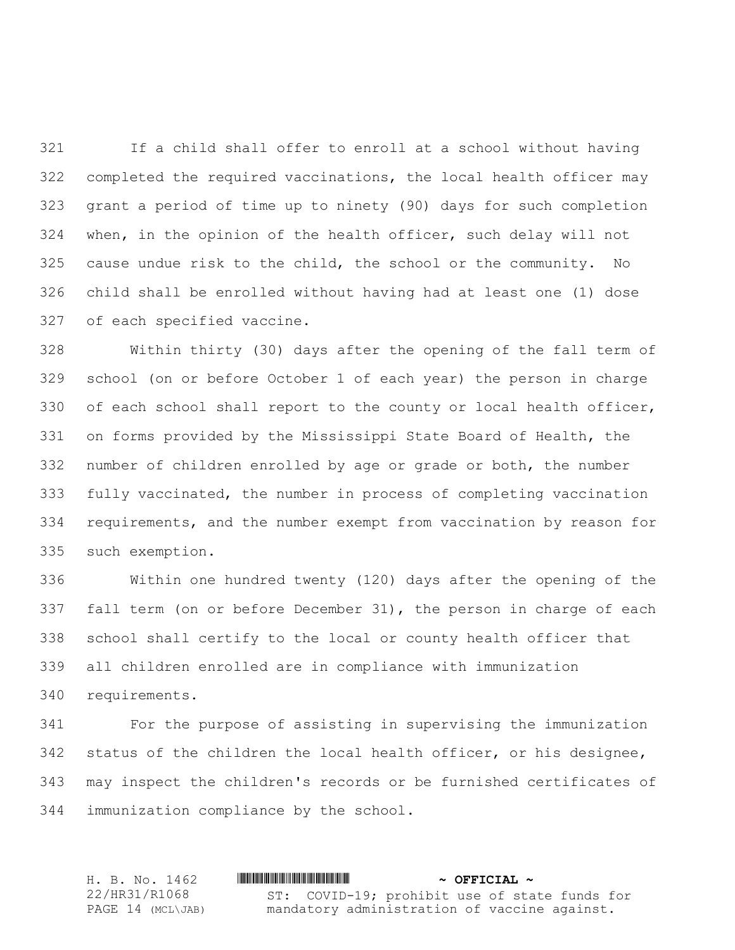If a child shall offer to enroll at a school without having completed the required vaccinations, the local health officer may grant a period of time up to ninety (90) days for such completion when, in the opinion of the health officer, such delay will not cause undue risk to the child, the school or the community. No child shall be enrolled without having had at least one (1) dose of each specified vaccine.

 Within thirty (30) days after the opening of the fall term of school (on or before October 1 of each year) the person in charge of each school shall report to the county or local health officer, on forms provided by the Mississippi State Board of Health, the number of children enrolled by age or grade or both, the number fully vaccinated, the number in process of completing vaccination requirements, and the number exempt from vaccination by reason for such exemption.

 Within one hundred twenty (120) days after the opening of the fall term (on or before December 31), the person in charge of each school shall certify to the local or county health officer that all children enrolled are in compliance with immunization requirements.

 For the purpose of assisting in supervising the immunization status of the children the local health officer, or his designee, may inspect the children's records or be furnished certificates of immunization compliance by the school.

H. B. No. 1462 \*HR31/R1068\* **~ OFFICIAL ~** 22/HR31/R1068 PAGE 14 (MCL\JAB) ST: COVID-19; prohibit use of state funds for mandatory administration of vaccine against.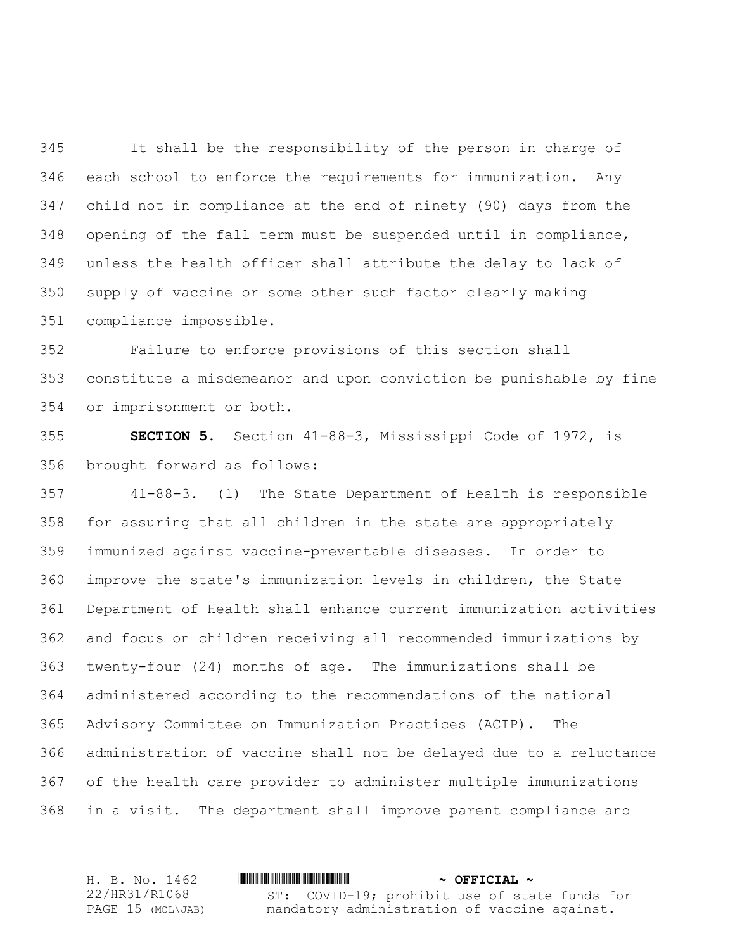It shall be the responsibility of the person in charge of each school to enforce the requirements for immunization. Any child not in compliance at the end of ninety (90) days from the opening of the fall term must be suspended until in compliance, unless the health officer shall attribute the delay to lack of supply of vaccine or some other such factor clearly making compliance impossible.

 Failure to enforce provisions of this section shall constitute a misdemeanor and upon conviction be punishable by fine or imprisonment or both.

 **SECTION 5.** Section 41-88-3, Mississippi Code of 1972, is brought forward as follows:

 41-88-3. (1) The State Department of Health is responsible for assuring that all children in the state are appropriately immunized against vaccine-preventable diseases. In order to improve the state's immunization levels in children, the State Department of Health shall enhance current immunization activities and focus on children receiving all recommended immunizations by twenty-four (24) months of age. The immunizations shall be administered according to the recommendations of the national Advisory Committee on Immunization Practices (ACIP). The administration of vaccine shall not be delayed due to a reluctance of the health care provider to administer multiple immunizations in a visit. The department shall improve parent compliance and

H. B. No. 1462 **HRING AND ALL AND A PHOTOGRAPH**  $\sim$  **OFFICIAL**  $\sim$ 22/HR31/R1068 PAGE 15 (MCL\JAB) ST: COVID-19; prohibit use of state funds for mandatory administration of vaccine against.